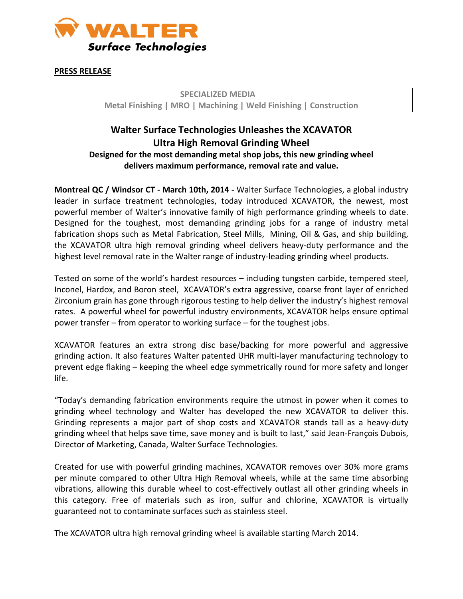

## **PRESS RELEASE**

**SPECIALIZED MEDIA Metal Finishing | MRO | Machining | Weld Finishing | Construction**

## **Walter Surface Technologies Unleashes the XCAVATOR Ultra High Removal Grinding Wheel**

**Designed for the most demanding metal shop jobs, this new grinding wheel delivers maximum performance, removal rate and value.**

**Montreal QC / Windsor CT - March 10th, 2014 -** Walter Surface Technologies, a global industry leader in surface treatment technologies, today introduced XCAVATOR, the newest, most powerful member of Walter's innovative family of high performance grinding wheels to date. Designed for the toughest, most demanding grinding jobs for a range of industry metal fabrication shops such as Metal Fabrication, Steel Mills, Mining, Oil & Gas, and ship building, the XCAVATOR ultra high removal grinding wheel delivers heavy-duty performance and the highest level removal rate in the Walter range of industry-leading grinding wheel products.

Tested on some of the world's hardest resources – including tungsten carbide, tempered steel, Inconel, Hardox, and Boron steel, XCAVATOR's extra aggressive, coarse front layer of enriched Zirconium grain has gone through rigorous testing to help deliver the industry's highest removal rates. A powerful wheel for powerful industry environments, XCAVATOR helps ensure optimal power transfer – from operator to working surface – for the toughest jobs.

XCAVATOR features an extra strong disc base/backing for more powerful and aggressive grinding action. It also features Walter patented UHR multi-layer manufacturing technology to prevent edge flaking – keeping the wheel edge symmetrically round for more safety and longer life.

"Today's demanding fabrication environments require the utmost in power when it comes to grinding wheel technology and Walter has developed the new XCAVATOR to deliver this. Grinding represents a major part of shop costs and XCAVATOR stands tall as a heavy-duty grinding wheel that helps save time, save money and is built to last," said Jean-François Dubois, Director of Marketing, Canada, Walter Surface Technologies.

Created for use with powerful grinding machines, XCAVATOR removes over 30% more grams per minute compared to other Ultra High Removal wheels, while at the same time absorbing vibrations, allowing this durable wheel to cost-effectively outlast all other grinding wheels in this category. Free of materials such as iron, sulfur and chlorine, XCAVATOR is virtually guaranteed not to contaminate surfaces such as stainless steel.

The XCAVATOR ultra high removal grinding wheel is available starting March 2014.